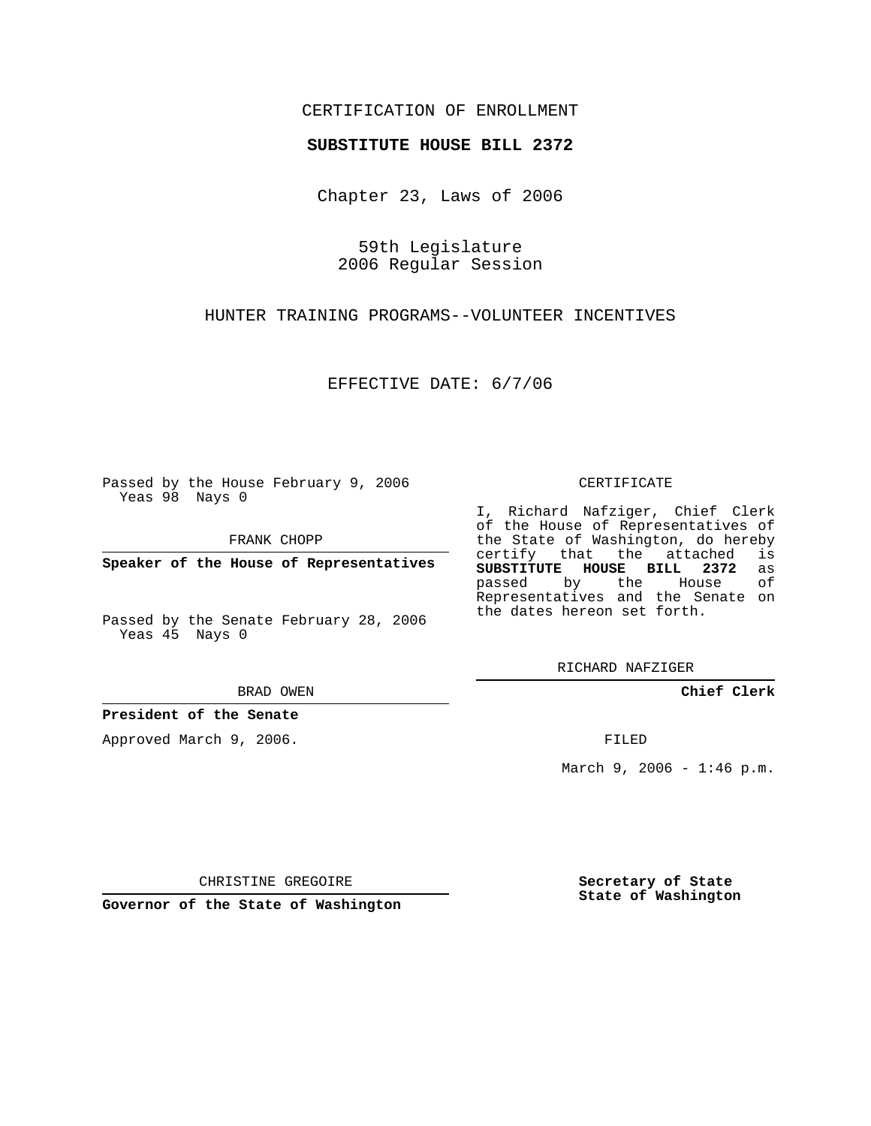## CERTIFICATION OF ENROLLMENT

### **SUBSTITUTE HOUSE BILL 2372**

Chapter 23, Laws of 2006

59th Legislature 2006 Regular Session

HUNTER TRAINING PROGRAMS--VOLUNTEER INCENTIVES

EFFECTIVE DATE: 6/7/06

Passed by the House February 9, 2006 Yeas 98 Nays 0

FRANK CHOPP

**Speaker of the House of Representatives**

Passed by the Senate February 28, 2006 Yeas 45 Nays 0

BRAD OWEN

**President of the Senate**

Approved March 9, 2006.

#### CERTIFICATE

I, Richard Nafziger, Chief Clerk of the House of Representatives of the State of Washington, do hereby<br>certify that the attached is certify that the attached **SUBSTITUTE HOUSE BILL 2372** as passed by the House of Representatives and the Senate on the dates hereon set forth.

RICHARD NAFZIGER

**Chief Clerk**

FILED

March 9, 2006 -  $1:46$  p.m.

CHRISTINE GREGOIRE

**Governor of the State of Washington**

**Secretary of State State of Washington**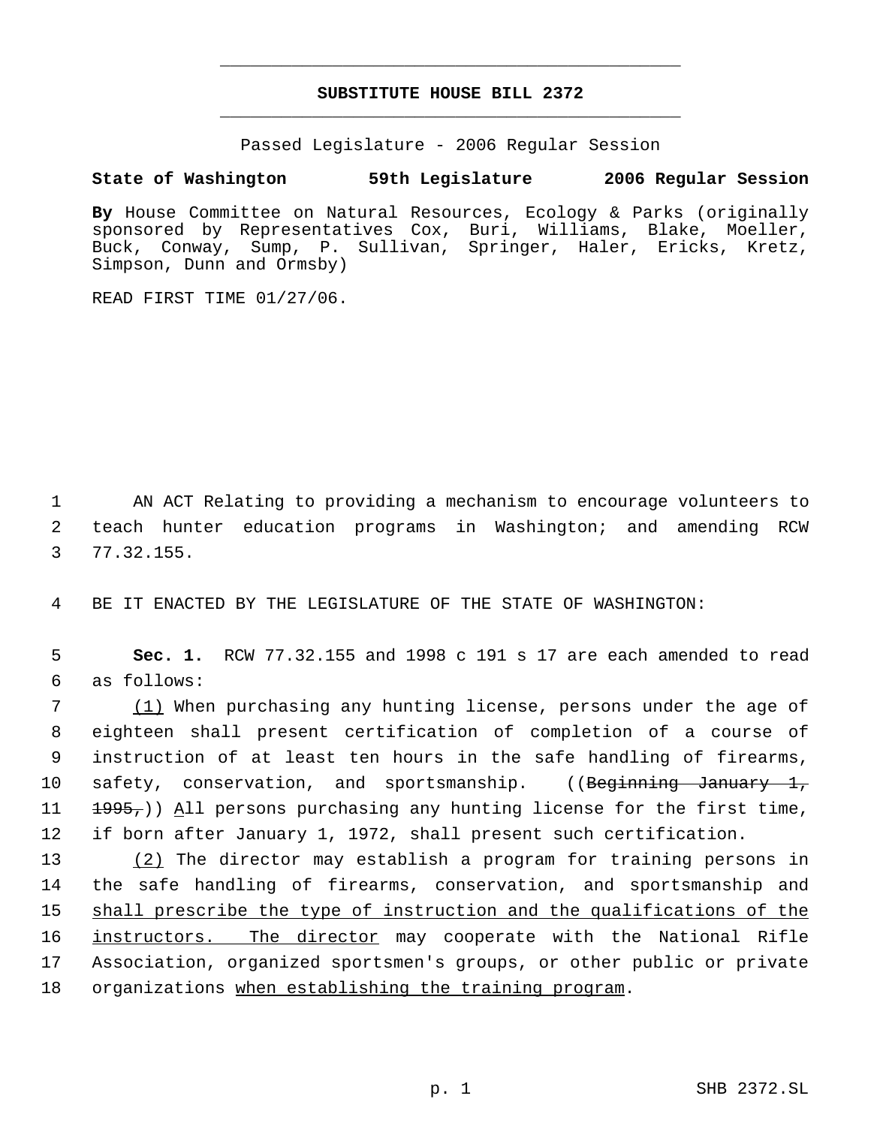# **SUBSTITUTE HOUSE BILL 2372** \_\_\_\_\_\_\_\_\_\_\_\_\_\_\_\_\_\_\_\_\_\_\_\_\_\_\_\_\_\_\_\_\_\_\_\_\_\_\_\_\_\_\_\_\_

\_\_\_\_\_\_\_\_\_\_\_\_\_\_\_\_\_\_\_\_\_\_\_\_\_\_\_\_\_\_\_\_\_\_\_\_\_\_\_\_\_\_\_\_\_

Passed Legislature - 2006 Regular Session

### **State of Washington 59th Legislature 2006 Regular Session**

**By** House Committee on Natural Resources, Ecology & Parks (originally sponsored by Representatives Cox, Buri, Williams, Blake, Moeller, Buck, Conway, Sump, P. Sullivan, Springer, Haler, Ericks, Kretz, Simpson, Dunn and Ormsby)

READ FIRST TIME 01/27/06.

 1 AN ACT Relating to providing a mechanism to encourage volunteers to 2 teach hunter education programs in Washington; and amending RCW 3 77.32.155.

4 BE IT ENACTED BY THE LEGISLATURE OF THE STATE OF WASHINGTON:

 5 **Sec. 1.** RCW 77.32.155 and 1998 c 191 s 17 are each amended to read 6 as follows:

7 (1) When purchasing any hunting license, persons under the age of eighteen shall present certification of completion of a course of instruction of at least ten hours in the safe handling of firearms, 10 safety, conservation, and sportsmanship. ((Beginning January 1,  $\left(1\right)$   $\left(1\right)$   $\left(1\right)$   $\left(1\right)$   $\left(1\right)$  persons purchasing any hunting license for the first time, if born after January 1, 1972, shall present such certification.

 (2) The director may establish a program for training persons in the safe handling of firearms, conservation, and sportsmanship and 15 shall prescribe the type of instruction and the qualifications of the 16 instructors. The director may cooperate with the National Rifle Association, organized sportsmen's groups, or other public or private organizations when establishing the training program.